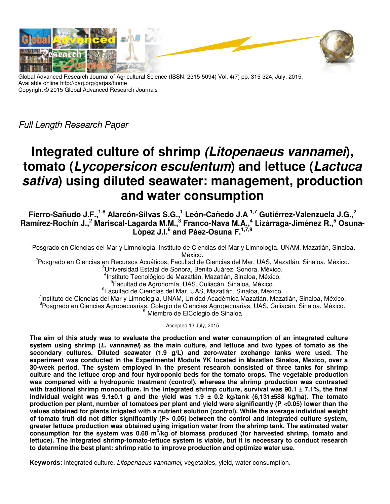

Global Advanced Research Journal of Agricultural Science (ISSN: 2315-5094) Vol. 4(7) pp. 315-324, July, 2015. Available online http://garj.org/garjas/home Copyright © 2015 Global Advanced Research Journals

Full Length Research Paper

# **Integrated culture of shrimp (Litopenaeus vannamei), tomato (Lycopersicon esculentum) and lettuce (Lactuca sativa) using diluted seawater: management, production and water consumption**

**Fierro-Sañudo J.F.,1,8 Alarcón-Silvas S.G.,<sup>1</sup> León-Cañedo J.A 1,7 Gutiérrez-Valenzuela J.G.,<sup>2</sup> Ramírez-Rochín J.,<sup>2</sup> Mariscal-Lagarda M.M.,<sup>3</sup> Franco-Nava M.A.,<sup>4</sup> Lizárraga-Jiménez R.,<sup>5</sup> Osuna-López J.I.<sup>6</sup> and Páez-Osuna F.1,7,9** 

<sup>1</sup>Posgrado en Ciencias del Mar y Limnología, Instituto de Ciencias del Mar y Limnología. UNAM, Mazatlán, Sinaloa, México.

<sup>2</sup>Posgrado en Ciencias en Recursos Acuáticos, Facultad de Ciencias del Mar, UAS, Mazatlán, Sinaloa, México. <sup>3</sup>Universidad Estatal de Sonora, Benito Juárez, Sonora, México.

4 Instituto Tecnológico de Mazatlán, Mazatlán, Sinaloa, México.

5 Facultad de Agronomía, UAS, Culiacán, Sinaloa, México.

6 Facultad de Ciencias del Mar, UAS, Mazatlán, Sinaloa, México.

<sup>7</sup>Instituto de Ciencias del Mar y Limnología, UNAM, Unidad Académica Mazatlán, Mazatlán, Sinaloa, México. <sup>8</sup> Posgrado en Ciencias Agropecuarias, Colegio de Ciencias Agropecuarias, UAS, Culiacán, Sinaloa, México. Miembro de ElColegio de Sinaloa

Accepted 13 July, 2015

**The aim of this study was to evaluate the production and water consumption of an integrated culture system using shrimp (L. vannamei) as the main culture, and lettuce and two types of tomato as the secondary cultures. Diluted seawater (1.9 g/L) and zero-water exchange tanks were used. The experiment was conducted in the Experimental Module YK located in Mazatlan Sinaloa, Mexico, over a 30-week period. The system employed in the present research consisted of three tanks for shrimp culture and the lettuce crop and four hydroponic beds for the tomato crops. The vegetable production was compared with a hydroponic treatment (control), whereas the shrimp production was contrasted with traditional shrimp monoculture. In the integrated shrimp culture, survival was 90.1 ± 7.1%, the final individual weight was 9.1±0.1 g and the yield was 1.9 ± 0.2 kg/tank (6,131±588 kg/ha). The tomato production per plant, number of tomatoes per plant and yield were significantly (P <0.05) lower than the values obtained for plants irrigated with a nutrient solution (control). While the average individual weight**  of tomato fruit did not differ significantly (P> 0.05) between the control and integrated culture system, **greater lettuce production was obtained using irrigation water from the shrimp tank. The estimated water consumption for the system was 0.68 m<sup>3</sup> /kg of biomass produced (for harvested shrimp, tomato and lettuce). The integrated shrimp-tomato-lettuce system is viable, but it is necessary to conduct research to determine the best plant: shrimp ratio to improve production and optimize water use.** 

**Keywords:** integrated culture, Litopenaeus vannamei, vegetables, yield, water consumption.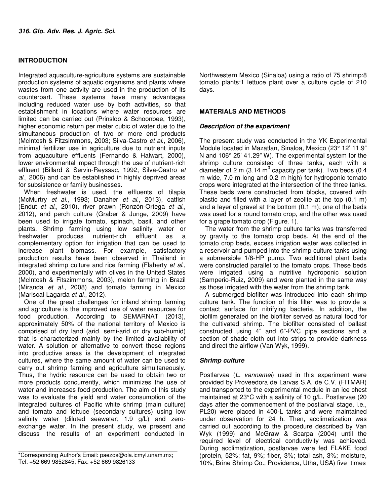# **INTRODUCTION**

Integrated aquaculture-agriculture systems are sustainable production systems of aquatic organisms and plants where wastes from one activity are used in the production of its counterpart. These systems have many advantages including reduced water use by both activities, so that establishment in locations where water resources are limited can be carried out (Prinsloo & Schoonbee, 1993), higher economic return per meter cubic of water due to the simultaneous production of two or more end products (McIntosh & Fitzsimmons, 2003; Silva-Castro et al., 2006), minimal fertilizer use in agriculture due to nutrient inputs from aquaculture effluents (Fernando & Halwart, 2000), lower environmental impact through the use of nutrient-rich effluent (Billard & Servin-Reyssac, 1992; Silva-Castro et al., 2006) and can be established in highly deprived areas for subsistence or family businesses.

When freshwater is used, the effluents of tilapia (McMurtry et al., 1993; Danaher et al., 2013), catfish (Endut et al., 2010), river prawn (Ronzón-Ortega et al., 2012), and perch culture (Graber & Junge, 2009) have been used to irrigate tomato, spinach, basil, and other plants. Shrimp farming using low salinity water or<br>freshwater produces nutrient-rich effluent as a produces nutrient-rich effluent as a complementary option for irrigation that can be used to increase plant biomass. For example, satisfactory production results have been observed in Thailand in integrated shrimp culture and rice farming (Flaherty et al., 2000), and experimentally with olives in the United States (McIntosh & Fitszimmons, 2003), melon farming in Brazil (Miranda et al., 2008) and tomato farming in Mexico (Mariscal-Lagarda et al., 2012).

One of the great challenges for inland shrimp farming and agriculture is the improved use of water resources for food production. According to SEMARNAT (2013), approximately 50% of the national territory of Mexico is comprised of dry land (arid, semi-arid or dry sub-humid) that is characterized mainly by the limited availability of water. A solution or alternative to convert these regions into productive areas is the development of integrated cultures, where the same amount of water can be used to carry out shrimp farming and agriculture simultaneously. Thus, the hydric resource can be used to obtain two or more products concurrently, which minimizes the use of water and increases food production. The aim of this study was to evaluate the yield and water consumption of the integrated cultures of Pacific white shrimp (main culture) and tomato and lettuce (secondary cultures) using low salinity water (diluted seawater; 1.9 g/L) and zeroexchange water. In the present study, we present and discuss the results of an experiment conducted in

Northwestern Mexico (Sinaloa) using a ratio of 75 shrimp:8 tomato plants:1 lettuce plant over a culture cycle of 210 days.

# **MATERIALS AND METHODS**

## **Description of the experiment**

The present study was conducted in the YK Experimental Module located in Mazatlan, Sinaloa, Mexico (23° 12' 11.9" N and 106° 25' 41.29" W). The experimental system for the shrimp culture consisted of three tanks, each with a diameter of 2 m (3.14 m<sup>3</sup> capacity per tank). Two beds (0.4 m wide, 7.0 m long and 0.2 m high) for hydroponic tomato crops were integrated at the intersection of the three tanks. These beds were constructed from blocks, covered with plastic and filled with a layer of zeolite at the top (0.1 m) and a layer of gravel at the bottom (0.1 m); one of the beds was used for a round tomato crop, and the other was used for a grape tomato crop (Figure. 1).

The water from the shrimp culture tanks was transferred by gravity to the tomato crop beds. At the end of the tomato crop beds, excess irrigation water was collected in a reservoir and pumped into the shrimp culture tanks using a submersible 1/8-HP pump. Two additional plant beds were constructed parallel to the tomato crops. These beds were irrigated using a nutritive hydroponic solution (Samperio-Ruiz, 2009) and were planted in the same way as those irrigated with the water from the shrimp tank.

A submerged biofilter was introduced into each shrimp culture tank. The function of this filter was to provide a contact surface for nitrifying bacteria. In addition, the biofilm generated on the biofilter served as natural food for the cultivated shrimp. The biofilter consisted of ballast constructed using 4" and 6"-PVC pipe sections and a section of shade cloth cut into strips to provide darkness and direct the airflow (Van Wyk, 1999).

# **Shrimp culture**

Postlarvae (L. vannamei) used in this experiment were provided by Proveedora de Larvas S.A. de C.V. (FITMAR) and transported to the experimental module in an ice chest maintained at 23°C with a salinity of 10 g/L. Postlarvae (20 days after the commencement of the postlarval stage, i.e., PL20) were placed in 400-L tanks and were maintained under observation for 24 h. Then, acclimatization was carried out according to the procedure described by Van Wyk (1999) and McGraw & Scarpa (2004) until the required level of electrical conductivity was achieved. During acclimatization, postlarvae were fed FLAKE food (protein, 52%; fat, 9%; fiber, 3%; total ash, 3%; moisture, 10%; Brine Shrimp Co., Providence, Utha, USA) five times

<sup>\*</sup>Corresponding Author's Email: paezos@ola.icmyl.unam.mx; Tel: +52 669 9852845; Fax: +52 669 9826133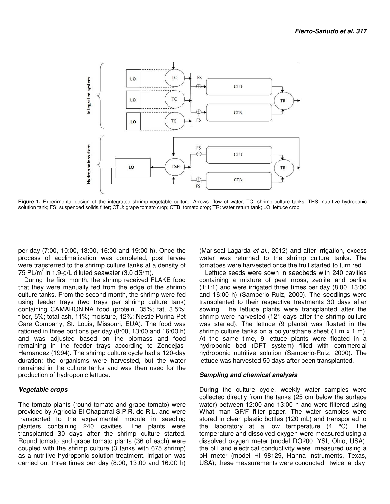

Figure 1. Experimental design of the integrated shrimp-vegetable culture. Arrows: flow of water; TC: shrimp culture tanks; THS: nutritive hydroponic solution tank; FS: suspended solids filter; CTU: grape tomato crop; CTB: tomato crop; TR: water return tank; LO: lettuce crop.

per day (7:00, 10:00, 13:00, 16:00 and 19:00 h). Once the process of acclimatization was completed, post larvae were transferred to the shrimp culture tanks at a density of 75 PL/ $m^2$  in 1.9-g/L diluted seawater (3.0 dS/m).

During the first month, the shrimp received FLAKE food that they were manually fed from the edge of the shrimp culture tanks. From the second month, the shrimp were fed using feeder trays (two trays per shrimp culture tank) containing CAMARONINA food (protein, 35%; fat, 3.5%; fiber, 5%; total ash, 11%; moisture, 12%; Nestlé Purina Pet Care Company, St. Louis, Missouri, EUA). The food was rationed in three portions per day (8:00, 13:00 and 16:00 h) and was adjusted based on the biomass and food remaining in the feeder trays according to Zendejas-Hernandez (1994). The shrimp culture cycle had a 120-day duration; the organisms were harvested, but the water remained in the culture tanks and was then used for the production of hydroponic lettuce.

# **Vegetable crops**

The tomato plants (round tomato and grape tomato) were provided by Agricola El Chaparral S.P.R. de R.L. and were transported to the experimental module in seedling planters containing 240 cavities. The plants were transplanted 30 days after the shrimp culture started. Round tomato and grape tomato plants (36 of each) were coupled with the shrimp culture (3 tanks with 675 shrimp) as a nutritive hydroponic solution treatment. Irrigation was carried out three times per day (8:00, 13:00 and 16:00 h) (Mariscal-Lagarda et al., 2012) and after irrigation, excess water was returned to the shrimp culture tanks. The tomatoes were harvested once the fruit started to turn red.

Lettuce seeds were sown in seedbeds with 240 cavities containing a mixture of peat moss, zeolite and perlite (1:1:1) and were irrigated three times per day (8:00, 13:00 and 16:00 h) (Samperio-Ruiz, 2000). The seedlings were transplanted to their respective treatments 30 days after sowing. The lettuce plants were transplanted after the shrimp were harvested (121 days after the shrimp culture was started). The lettuce (9 plants) was floated in the shrimp culture tanks on a polyurethane sheet (1 m x 1 m). At the same time, 9 lettuce plants were floated in a hydroponic bed (DFT system) filled with commercial hydroponic nutritive solution (Samperio-Ruiz, 2000). The lettuce was harvested 50 days after been transplanted.

# **Sampling and chemical analysis**

During the culture cycle, weekly water samples were collected directly from the tanks (25 cm below the surface water) between 12:00 and 13:00 h and were filtered using What man GF/F filter paper. The water samples were stored in clean plastic bottles (120 mL) and transported to the laboratory at a low temperature  $(4 \degree C)$ . The temperature and dissolved oxygen were measured using a dissolved oxygen meter (model DO200, YSI, Ohio, USA), the pH and electrical conductivity were measured using a pH meter (model HI 98129, Hanna instruments, Texas, USA); these measurements were conducted twice a day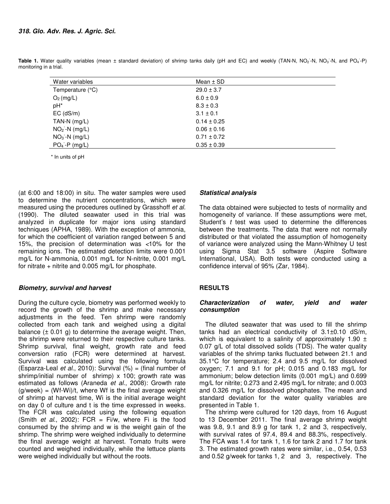| Water variables  | Mean $\pm$ SD   |
|------------------|-----------------|
| Temperature (°C) | $29.0 \pm 3.7$  |
| $O2$ (mg/L)      | $6.0 \pm 0.9$   |
| pH*              | $8.3 \pm 0.3$   |
| $EC$ ( $dS/m$ )  | $3.1 \pm 0.1$   |
| TAN-N $(mg/L)$   | $0.14 \pm 0.25$ |
| $NO2$ -N (mg/L)  | $0.06 \pm 0.16$ |
| $NO3 - N$ (mg/L) | $0.71 \pm 0.72$ |
| $PO4 - P$ (mg/L) | $0.35 \pm 0.39$ |

Table 1. Water quality variables (mean ± standard deviation) of shrimp tanks daily (pH and EC) and weekly (TAN-N, NO<sub>2</sub>-N, NO<sub>3</sub>-N, and PO<sub>4</sub>-P) monitoring in a trial.

\* In units of pH

(at 6:00 and 18:00) in situ. The water samples were used to determine the nutrient concentrations, which were measured using the procedures outlined by Grasshoff et al. (1990). The diluted seawater used in this trial was analyzed in duplicate for major ions using standard techniques (APHA, 1989). With the exception of ammonia, for which the coefficient of variation ranged between 5 and 15%, the precision of determination was <10% for the remaining ions. The estimated detection limits were 0.001 mg/L for N-ammonia, 0.001 mg/L for N-nitrite, 0.001 mg/L for nitrate  $+$  nitrite and 0.005 mg/L for phosphate.

# **Biometry, survival and harvest**

During the culture cycle, biometry was performed weekly to record the growth of the shrimp and make necessary adjustments in the feed. Ten shrimp were randomly collected from each tank and weighed using a digital balance  $(\pm 0.01 \text{ g})$  to determine the average weight. Then, the shrimp were returned to their respective culture tanks. Shrimp survival, final weight, growth rate and feed conversion ratio (FCR) were determined at harvest. Survival was calculated using the following formula (Esparza-Leal et al., 2010): Survival  $(\%)$  = (final number of shrimp/initial number of shrimp) x 100; growth rate was estimated as follows (Araneda et al., 2008): Growth rate  $(g/week) = (Wf-Wi)/t$ , where Wf is the final average weight of shrimp at harvest time, Wi is the initial average weight on day 0 of culture and t is the time expressed in weeks. The FCR was calculated using the following equation (Smith et al., 2002): FCR = Fi/w, where Fi is the food consumed by the shrimp and w is the weight gain of the shrimp. The shrimp were weighed individually to determine the final average weight at harvest. Tomato fruits were counted and weighed individually, while the lettuce plants were weighed individually but without the roots.

# **Statistical analysis**

The data obtained were subjected to tests of normality and homogeneity of variance. If these assumptions were met, Student's t test was used to determine the differences between the treatments. The data that were not normally distributed or that violated the assumption of homogeneity of variance were analyzed using the Mann-Whitney U test using Sigma Stat 3.5 software (Aspire Software International, USA). Both tests were conducted using a confidence interval of 95% (Zar, 1984).

# **RESULTS**

## **Characterization of water, yield and water consumption**

The diluted seawater that was used to fill the shrimp tanks had an electrical conductivity of 3.1±0.10 dS/m, which is equivalent to a salinity of approximately 1.90  $\pm$ 0.07 g/L of total dissolved solids (TDS). The water quality variables of the shrimp tanks fluctuated between 21.1 and 35.1°C for temperature; 2.4 and 9.5 mg/L for dissolved oxygen; 7.1 and 9.1 for pH; 0.015 and 0.183 mg/L for ammonium; below detection limits (0.001 mg/L) and 0.699 mg/L for nitrite; 0.273 and 2.495 mg/L for nitrate; and 0.003 and 0.326 mg/L for dissolved phosphates. The mean and standard deviation for the water quality variables are presented in Table 1.

The shrimp were cultured for 120 days, from 16 August to 13 December 2011. The final average shrimp weight was 9.8, 9.1 and 8.9 g for tank 1, 2 and 3, respectively, with survival rates of 97.4, 89.4 and 88.3%, respectively. The FCA was 1.4 for tank 1, 1.6 for tank 2 and 1.7 for tank 3. The estimated growth rates were similar, i.e., 0.54, 0.53 and 0.52 g/week for tanks 1, 2 and 3, respectively. The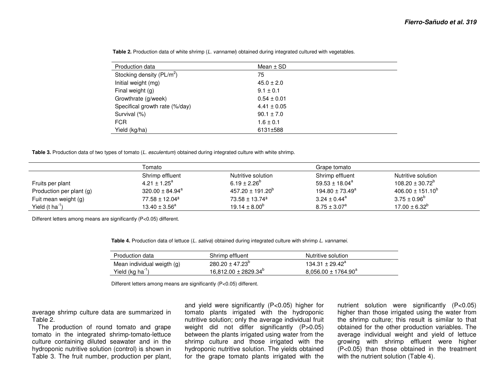| Production data                | Mean $\pm$ SD   |
|--------------------------------|-----------------|
| Stocking density $(PL/m^2)$    | 75              |
| Initial weight (mg)            | $45.0 \pm 2.0$  |
| Final weight (g)               | $9.1 \pm 0.1$   |
| Growthrate (g/week)            | $0.54 \pm 0.01$ |
| Specifical growth rate (%/day) | $4.41 \pm 0.05$ |
| Survival (%)                   | $90.1 \pm 7.0$  |
| <b>FCR</b>                     | $1.6 \pm 0.1$   |
| Yield (kg/ha)                  | 6131±588        |

**Table 2.** Production data of white shrimp (L. vannamei) obtained during integrated cultured with vegetables.

**Table 3.** Production data of two types of tomato (L. esculentum) obtained during integrated culture with white shrimp.

|                             | Tomato                    |                                | Grape tomato                    |                       |  |
|-----------------------------|---------------------------|--------------------------------|---------------------------------|-----------------------|--|
|                             | Shrimp effluent           | Nutritive solution             | Shrimp effluent                 | Nutritive solution    |  |
| Fruits per plant            | $4.21 \pm 1.25^a$         | $6.19 \pm 2.26^{\circ}$        | $59.53 \pm 18.04^a$             | $108.20 \pm 30.72^b$  |  |
| Production per plant (g)    | $320.00 \pm 84.94^a$      | $457.20 \pm 191.20^{\circ}$    | 194.80 $\pm$ 73.49 <sup>a</sup> | $406.00 \pm 151.10^b$ |  |
| Fuit mean weight (g)        | $77.58 \pm 12.04^{\circ}$ | $73.58 \pm 13.74$ <sup>a</sup> | $3.24 \pm 0.44^{\text{a}}$      | $3.75 \pm 0.96^b$     |  |
| Yield $(t \text{ ha}^{-1})$ | $13.40 \pm 3.56^a$        | $19.14 \pm 8.00^6$             | $8.75 \pm 3.07^{\circ}$         | $17.00 \pm 6.32^b$    |  |

Different letters among means are significantly (P<0.05) different.

Table 4. Production data of lettuce (L. sativa) obtained during integrated culture with shrimp L. vannamei.

| Production data              | Shrimp effluent                 | Nutritive solution       |
|------------------------------|---------------------------------|--------------------------|
| Mean individual weigth (g)   | $280.20 \pm 47.23^{\circ}$      | $134.31 \pm 29.42^a$     |
| Yield (kg ha <sup>-1</sup> ) | $16,812.00 \pm 2829.34^{\circ}$ | $8,056.00 \pm 1764.90^a$ |

Different letters among means are significantly (P<0.05) different.

average shrimp culture data are summarized in Table 2.

 The production of round tomato and grape tomato in the integrated shrimp-tomato-lettuce culture containing diluted seawater and in the hydroponic nutritive solution (control) is shown inTable 3. The fruit number, production per plant, and yield were significantly (P<0.05) higher for tomato plants irrigated with the hydroponic nutritive solution; only the average individual fruit weight did not differ significantly (P>0.05) between the plants irrigated using water from the shrimp culture and those irrigated with the hydroponic nutritive solution. The yields obtained for the grape tomato plants irrigated with the

nutrient solution were significantly (P<0.05) higher than those irrigated using the water from the shrimp culture; this result is similar to that obtained for the other production variables. The average individual weight and yield of lettuce growing with shrimp effluent were higher (P<0.05) than those obtained in the treatment with the nutrient solution (Table 4).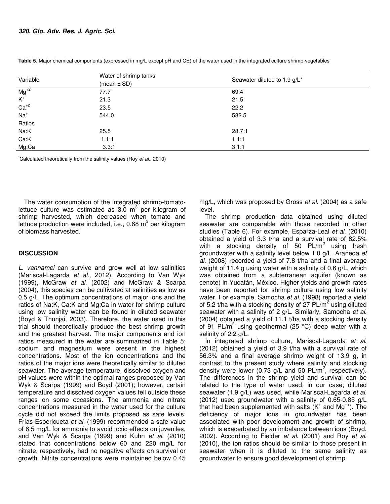| Variable                             | Water of shrimp tanks<br>$(mean \pm SD)$ | Seawater diluted to 1.9 g/L* |  |  |
|--------------------------------------|------------------------------------------|------------------------------|--|--|
| $Mg^{+2}$                            | 77.7                                     | 69.4                         |  |  |
| $\mathsf{K}^{\scriptscriptstyle{+}}$ | 21.3                                     | 21.5                         |  |  |
| $Ca+2$                               | 23.5                                     | 22.2                         |  |  |
| $Na+$                                | 544.0                                    | 582.5                        |  |  |
| Ratios                               |                                          |                              |  |  |
| Na:K                                 | 25.5                                     | 28.7:1                       |  |  |
| Ca:K                                 | 1.1:1                                    | 1.1:1                        |  |  |
| Mg:Ca                                | 3.3:1                                    | 3.1:1                        |  |  |

**Table 5.** Major chemical components (expressed in mg/L except pH and CE) of the water used in the integrated culture shrimp-vegetables

Calculated theoretically from the salinity values (Roy et al., 2010)

The water consumption of the integrated shrimp-tomatolettuce culture was estimated as 3.0  $m<sup>3</sup>$  per kilogram of shrimp harvested, which decreased when tomato and lettuce production were included, i.e., 0.68 m<sup>3</sup> per kilogram of biomass harvested.

# **DISCUSSION**

L. vannamei can survive and grow well at low salinities (Mariscal-Lagarda et al., 2012). According to Van Wyk (1999), McGraw et al. (2002) and McGraw & Scarpa (2004), this species can be cultivated at salinities as low as 0.5 g/L. The optimum concentrations of major ions and the ratios of Na:K, Ca:K and Mg:Ca in water for shrimp culture using low salinity water can be found in diluted seawater (Boyd & Thunjai, 2003). Therefore, the water used in this trial should theoretically produce the best shrimp growth and the greatest harvest. The major components and ion ratios measured in the water are summarized in Table 5; sodium and magnesium were present in the highest concentrations. Most of the ion concentrations and the ratios of the major ions were theoretically similar to diluted seawater. The average temperature, dissolved oxygen and pH values were within the optimal ranges proposed by Van Wyk & Scarpa (1999) and Boyd (2001); however, certain temperature and dissolved oxygen values fell outside these ranges on some occasions. The ammonia and nitrate concentrations measured in the water used for the culture cycle did not exceed the limits proposed as safe levels: Frías-Espericueta et al. (1999) recommended a safe value of 6.5 mg/L for ammonia to avoid toxic effects on juveniles, and Van Wyk & Scarpa (1999) and Kuhn et al. (2010) stated that concentrations below 60 and 220 mg/L for nitrate, respectively, had no negative effects on survival or growth. Nitrite concentrations were maintained below 0.45

mg/L, which was proposed by Gross et al. (2004) as a safe level.

The shrimp production data obtained using diluted seawater are comparable with those recorded in other studies (Table 6). For example, Esparza-Leal et al. (2010) obtained a yield of 3.3 t/ha and a survival rate of 82.5% with a stocking density of 50  $PL/m^2$  using fresh groundwater with a salinity level below 1.0 g/L. Araneda et al. (2008) recorded a yield of 7.8 t/ha and a final average weight of 11.4 g using water with a salinity of 0.6 g/L, which was obtained from a subterranean aquifer (known as cenote) in Yucatán, México. Higher yields and growth rates have been reported for shrimp culture using low salinity water. For example, Samocha et al. (1998) reported a yield of 5.2 t/ha with a stocking density of 27  $PL/m^2$  using diluted seawater with a salinity of 2 g/L. Similarly, Samocha et al. (2004) obtained a yield of 11.1 t/ha with a stocking density of 91 PL/m<sup>2</sup> using geothermal (25 °C) deep water with a salinity of 2.2 g/L.

In integrated shrimp culture, Mariscal-Lagarda et al. (2012) obtained a yield of 3.9 t/ha with a survival rate of 56.3% and a final average shrimp weight of 13.9 g, in contrast to the present study where salinity and stocking density were lower (0.73 g/L and 50 PL/m<sup>2</sup>, respectively). The differences in the shrimp yield and survival can be related to the type of water used; in our case, diluted seawater (1.9 g/L) was used, while Mariscal-Lagarda et al. (2012) used groundwater with a salinity of 0.65-0.85 g/L that had been supplemented with salts  $(K^+)$  and Mg<sup>++</sup>). The deficiency of major ions in groundwater has been associated with poor development and growth of shrimp, which is exacerbated by an imbalance between ions (Boyd, 2002). According to Fielder et al. (2001) and Roy et al. (2010), the ion ratios should be similar to those present in seawater when it is diluted to the same salinity as groundwater to ensure good development of shrimp.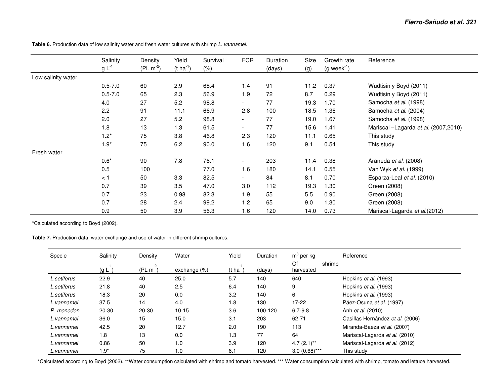Salinity Density Yield Survival FCR Duration Size Growth rate Reference g L<sup>-1</sup> (PL m<sup>-2</sup>) (t ha<sup>-1</sup>) (%) (days) (g) (g week<sup>-1</sup>) Low salinity water 0.5-7.0 60 2.9 68.4 1.4 91 11.2 0.37 Wudtisin y Boyd (2011) 0.5-7.0 65 2.3 56.9 1.9 72 8.7 0.29 Wudtisin y Boyd (2011) 4.0 27 5.2 98.8 - 77 19.3 1.70 Samocha et al. (1998) 2.2 91 11.1 66.9 2.8 100 18.5 1.36 Samocha et al. (2004) 2.0 27 5.2 98.8 - 77 19.0 1.67 Samocha et al. (1998) er 13 1.3 61.5 - 77 15.6 1.41 Mariscal –Lagarda et al. (2007,2010) 1.2\* 75 3.8 46.8 2.3 120 11.1 0.65 This study 1.9\* 75 6.2 90.0 1.6 120 9.1 0.54 This study Fresh water 0.6\* 90 7.8 76.1 - 203 11.4 0.38 Araneda et al. (2008) 0.5 100 77.0 1.6 180 14.1 0.55 Van Wyk *et al.* (1999) < 1 50 3.3 82.5 - 84 8.1 0.70 Esparza-Leal et al. (2010) 0.7 39 3.5 47.0 3.0 112 19.3 1.30 Green (2008) 0.7 23 0.98 82.3 1.9 55 5.5 0.90 Green (2008) 0.7 28 2.4 99.2 1.2 65 9.0 1.30 Green (2008) 0.9 50 3.9 56.3 1.6 120 14.0 0.73 Mariscal-Lagarda et al.(2012)

Table 6. Production data of low salinity water and fresh water cultures with shrimp L. vannamei.

\*Calculated according to Boyd (2002).

**Table 7.** Production data, water exchange and use of water in different shrimp cultures.

| Specie      | Salinity | Density     | Water           | Yield       | Duration | $m3$ per kg     | Reference                        |
|-------------|----------|-------------|-----------------|-------------|----------|-----------------|----------------------------------|
|             | (g L     | -2<br>(PLm) | exchange $(\%)$ | -1<br>(t ha | (days)   | Of<br>harvested | shrimp                           |
| L.setiferus | 22.9     | 40          | 25.0            | 5.7         | 140      | 640             | Hopkins et al. (1993)            |
| L.setiferus | 21.8     | 40          | 2.5             | 6.4         | 140      | 9               | Hopkins et al. (1993)            |
| L.setiferus | 18.3     | 20          | 0.0             | 3.2         | 140      | 6               | Hopkins et al. (1993)            |
| L.vannamei  | 37.5     | 14          | 4.0             | 1.8         | 130      | $17-22$         | Páez-Osuna et al. (1997)         |
| P. monodon  | 20-30    | $20 - 30$   | $10 - 15$       | 3.6         | 100-120  | $6.7 - 9.8$     | Anh <i>et al.</i> (2010)         |
| L.vannamei  | 36.0     | 15          | 15.0            | 3.1         | 203      | 62-71           | Casillas Hernández et al. (2006) |
| L.vannamei  | 42.5     | 20          | 12.7            | 2.0         | 190      | 113             | Miranda-Baeza et al. (2007)      |
| L.vannamei  | 1.8      | 13          | 0.0             | 1.3         | 77       | 64              | Mariscal-Lagarda et al. (2010)   |
| L.vannamei  | 0.86     | 50          | 1.0             | 3.9         | 120      | $4.7(2.1)$ **   | Mariscal-Lagarda et al. (2012)   |
| L.vannamei  | $1.9^*$  | 75          | 1.0             | 6.1         | 120      | $3.0(0.68)$ *** | This study                       |

\*Calculated according to Boyd (2002). \*\*Water consumption calculated with shrimp and tomato harvested. \*\*\* Water consumption calculated with shrimp, tomato and lettuce harvested.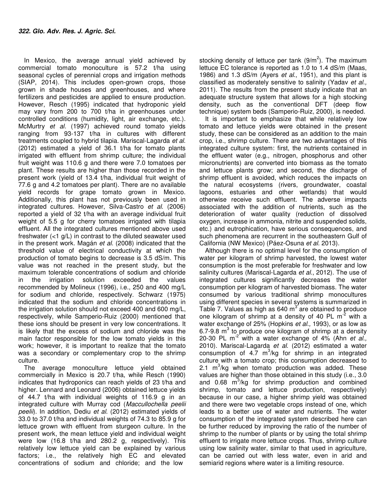In Mexico, the average annual yield achieved by commercial tomato monoculture is 57.2 t/ha using seasonal cycles of perennial crops and irrigation methods (SIAP, 2014). This includes open-grown crops, those grown in shade houses and greenhouses, and where fertilizers and pesticides are applied to ensure production. However, Resch (1995) indicated that hydroponic yield may vary from 200 to 700 t/ha in greenhouses under controlled conditions (humidity, light, air exchange, etc.). McMurtry et al. (1997) achieved round tomato yields ranging from 93-137 t/ha in cultures with different treatments coupled to hybrid tilapia. Mariscal-Lagarda et al. (2012) estimated a yield of 36.1 t/ha for tomato plants irrigated with effluent from shrimp culture; the individual fruit weight was 110.6 g and there were 7.0 tomatoes per plant. These results are higher than those recorded in the present work (yield of 13.4 t/ha, individual fruit weight of 77.6 g and 4.2 tomatoes per plant). There are no available yield records for grape tomato grown in Mexico. Additionally, this plant has not previously been used in integrated cultures. However, Silva-Castro et al. (2006) reported a yield of 32 t/ha with an average individual fruit weight of 5.5 g for cherry tomatoes irrigated with tilapia effluent. All the integrated cultures mentioned above used freshwater  $\left($ <1 g/L) in contrast to the diluted seawater used in the present work. Magán et al. (2008) indicated that the threshold value of electrical conductivity at which the production of tomato begins to decrease is 3.5 dS/m. This value was not reached in the present study, but the maximum tolerable concentrations of sodium and chloride in the irrigation solution exceeded the values recommended by Molineux (1996), i.e., 250 and 400 mg/L for sodium and chloride, respectively. Schwarz (1975) indicated that the sodium and chloride concentrations in the irrigation solution should not exceed 400 and 600 mg/L, respectively, while Samperio-Ruiz (2000) mentioned that these ions should be present in very low concentrations. It is likely that the excess of sodium and chloride was the main factor responsible for the low tomato yields in this work; however, it is important to realize that the tomato was a secondary or complementary crop to the shrimp culture.

The average monoculture lettuce yield obtained commercially in Mexico is 20.7 t/ha, while Resch (1990) indicates that hydroponics can reach yields of 23 t/ha and higher. Lennard and Leonard (2006) obtained lettuce yields of 44.7 t/ha with individual weights of 116.9 g in an integrated culture with Murray cod (Maccullochella peelii peelii). In addition, Dediu et al. (2012) estimated yields of 33.0 to 37.0 t/ha and individual weights of 74.3 to 85.9 g for lettuce grown with effluent from sturgeon culture. In the present work, the mean lettuce yield and individual weight were low (16.8 t/ha and 280.2 g, respectively). This relatively low lettuce yield can be explained by various factors; i.e., the relatively high EC and elevated concentrations of sodium and chloride; and the low

stocking density of lettuce per tank  $(9/m^2)$ . The maximum lettuce EC tolerance is reported as 1.0 to 1.4 dS/m (Maas, 1986) and 1.3 dS/m (Ayers et al., 1951), and this plant is classified as moderately sensitive to salinity (Yadav et al., 2011). The results from the present study indicate that an adequate structure system that allows for a high stocking density, such as the conventional DFT (deep flow technique) system beds (Samperio-Ruiz, 2000), is needed.

It is important to emphasize that while relatively low tomato and lettuce yields were obtained in the present study, these can be considered as an addition to the main crop, i.e., shrimp culture. There are two advantages of this integrated culture system: first, the nutrients contained in the effluent water (e.g., nitrogen, phosphorus and other micronutrients) are converted into biomass as the tomato and lettuce plants grow; and second, the discharge of shrimp effluent is avoided, which reduces the impacts on the natural ecosystems (rivers, groundwater, coastal lagoons, estuaries and other wetlands) that would otherwise receive such effluent. The adverse impacts associated with the addition of nutrients, such as the deterioration of water quality (reduction of dissolved oxygen, increase in ammonia, nitrite and suspended solids, etc.) and eutrophication, have serious consequences, and such phenomena are recurrent in the southeastern Gulf of California (NW Mexico) (Páez-Osuna et al. 2013).

Although there is no optimal level for the consumption of water per kilogram of shrimp harvested, the lowest water consumption is the most preferable for freshwater and low salinity cultures (Mariscal-Lagarda et al., 2012). The use of integrated cultures significantly decreases the water consumption per kilogram of harvested biomass. The water consumed by various traditional shrimp monocultures using different species in several systems is summarized in Table 7. Values as high as 640  $m^3$  are obtained to produce one kilogram of shrimp at a density of 40 PL  $m<sup>-2</sup>$  with a water exchange of 25% (Hopkins *et al.*, 1993), or as low as 6.7-9.8  $m^3$  to produce one kilogram of shrimp at a density 20-30 PL  $m<sup>-2</sup>$  with a water exchange of 4% (Ahn et al., 2010). Mariscal-Lagarda et al. (2012) estimated a water consumption of 4.7  $m^3$ /kg for shrimp in an integrated culture with a tomato crop; this consumption decreased to 2.1  $m^3$ /kg when tomato production was added. These values are higher than those obtained in this study (i.e., 3.0 and  $0.68$   $\mathrm{m}^3$ /kg for shrimp production and combined shrimp, tomato and lettuce production, respectively) because in our case, a higher shrimp yield was obtained and there were two vegetable crops instead of one, which leads to a better use of water and nutrients. The water consumption of the integrated system described here can be further reduced by improving the ratio of the number of shrimp to the number of plants or by using the total shrimp effluent to irrigate more lettuce crops. Thus, shrimp culture using low salinity water, similar to that used in agriculture, can be carried out with less water, even in arid and semiarid regions where water is a limiting resource.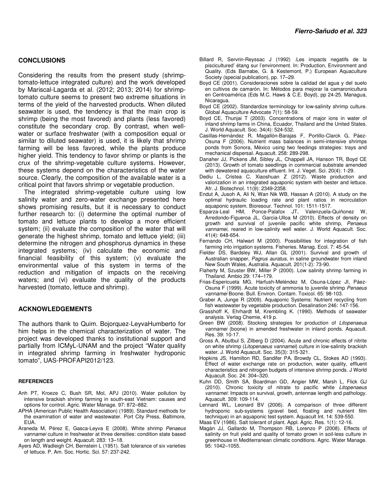#### **CONCLUSIONS**

Considering the results from the present study (shrimptomato-lettuce integrated culture) and the work developed by Mariscal-Lagarda et al. (2012; 2013; 2014) for shrimptomato culture seems to present two extreme situations in terms of the yield of the harvested products. When diluted seawater is used, the tendency is that the main crop is shrimp (being the most favored) and plants (less favored) constitute the secondary crop. By contrast, when wellwater or surface freshwater (with a composition equal or similar to diluted seawater) is used, it is likely that shrimp farming will be less favored, while the plants produce higher yield. This tendency to favor shrimp or plants is the crux of the shrimp-vegetable culture systems. However, these systems depend on the characteristics of the water source. Clearly, the composition of the available water is a critical point that favors shrimp or vegetable production.

The integrated shrimp-vegetable culture using low salinity water and zero-water exchange presented here shows promising results, but it is necessary to conduct further research to: (i) determine the optimal number of tomato and lettuce plants to develop a more efficient system; (ii) evaluate the composition of the water that will generate the highest shrimp, tomato and lettuce yield; (iii) determine the nitrogen and phosphorus dynamics in these integrated systems; (iv) calculate the economic and financial feasibility of this system; (v) evaluate the environmental value of this system in terms of the reduction and mitigation of impacts on the receiving waters; and (vi) evaluate the quality of the products harvested (tomato, lettuce and shrimp).

### **ACKNOWLEDGEMENTS**

The authors thank to Quim. Bojorquez-LeyvaHumberto for him helps in the chemical characterization of water. The project was developed thanks to institutional support and partially from ICMyL-UNAM and the project "Water quality in integrated shrimp farming in freshwater hydroponic tomato", UAS-PROFAPI2012/123.

#### **REFERENCES**

- Anh PT, Kroeze C, Bush SR, Mol, APJ (2010). Water pollution by intensive brackish shrimp farming in south-east Vietnam: causes and options for control. Agric. Water Manage. 97: 872–882.
- APHA (American Public Health Association) (1989). Standard methods for the examination of water and wastewater. Port City Press, Baltimore, EUA.
- Araneda M, Pérez E, Gasca-Leyva E (2008). White shrimp Penaeus vannamei culture in freshwater at three densities: condition state based on length and weight. Aquacult. 283: 13–18.
- Ayers AD, Wadleigh CH, Bernstein L (1951). Salt tolerance of six varieties of lettuce. P. Am. Soc. Hortic. Sci. 57: 237-242.
- Billard R, Servrin-Reyssac J (1992) .Les impacts negatifs de la piscicultured' étang sur l'environment. In: Production, Environment and Quality. (Eds Barnabe, G. & Kestemont, P.) European Aquaculture Society (special publication), pp. 17–29.
- Boyd CE (2001). Consideraciones sobre la calidad del agua y del suelo en cultivos de camarón. In: Métodos para mejorar la camaronicultura en Centroamérica (Eds M.C. Haws & C.E. Boyd), pp 24-25. Managua, Nicaragua.
- Boyd CE (2002). Standardize terminology for low-salinity shrimp culture. Global Aquaculture Advocate 7(1): 58-59.
- Boyd CE, Thunjai T (2003). Concentrations of major ions in water of inland shrimp farms in China, Ecuador, Thailand and the United States. J. World Aquacult. Soc. 34(4): 524-532.
- Casillas-Hernández R, Magallón-Barajas F, Portillo-Clarck G, Páez-Osuna F (2006). Nutrient mass balances in semi-intensive shrimps ponds from Sonora, México using two feedings strategies: trays and mechanical dispersal. Aquacult. 258: 289-298.
- Danaher JJ, Pickens JM, Sibley JL, Chappell JA, Hanson TR, Boyd CE (2013). Growth of tomato seedlings in commercial substrate amended with dewatered aquaculture effluent. Int. J. Veget. Sci. 20(4): 1-29.
- Dediu L, Cristea C, Xiaoshuan Z (2012). Waste production and valorization in an integrated aquaponic system with bester and lettuce. Afr. J. Biotechnol. 11(9): 2349-2358.
- Endut A, Jusoh A, Ali N, Wan Nik WB, Hassan A (2010). A study on the optimal hydraulic loading rate and plant ratios in recirculation aquaponic system. Bioresour. Technol. 101: 1511-1517.
- Esparza-Leal HM, Ponce-Palafox JT, Valenzuela-Quiñonez W, Arredondo-Figueroa JL, Garcia-Ulloa M (2010). Effects of density on growth and survival of juvenile pacific white shrimp, Penaeus vannamei, reared in low-salinity well water. J. World Aquacult. Soc. 41(4): 648-654.
- Fernando CH, Halwart M (2000). Possibilities for integration of fish farming into irrigation systems. Fisheries. Manag. Ecol. 7: 45-54.
- Fielder DS, Bardsley WJ, Allan GL (2001). Survival and growth of Australian snapper, Pagrus auratus, in saline groundwater from inland New South Wales, Australia. Aquacult. 201(1-2): 73-90.
- Flaherty M, Szuster BW, Miller P (2000). Low salinity shrimp farming in Thailand. Ambio 29: 174–179.
- Frias-Espericueta MG, Harfush-Meléndez M, Osuna-López JI, Páez-Osuna F (1999). Acute toxicity of ammonia to juvenile shrimp Penaeus vannamei Boone. Bull. Environ. Contam. Toxicol. 65: 98-103.
- Graber A, Junge R (2009). Aquaponic Systems: Nutrient recycling from fish wastewater by vegetable production. Desalination 246: 147-156.
- Grasshoff K, Ehrhardt M, Krembling K. (1990). Methods of seawater analysis. Verlag Chemie, 419 p.
- Green BW (2008). Stocking strategies for production of Litopenaeus vannamei (boone) in amended freshwater in inland ponds. Aquacult. Res. 39: 10-17.
- Gross A, Abutbul S, Zilberg D (2004). Acute and chronic effects of nitrite on white shrimp (Litopenaeus vannamei) culture in low-salinity brackish water. J. World Aquacult. Soc. 35(3): 315-321.
- Hopkins JS, Hamilton RD, Sandifer PA, Browdy CL, Stokes AD (1993). Effect of water exchange rate on production, water quality, effluent characteristics and nitrogen budgets of intensive shrimp ponds. J World Aquacult. Soc. 24: 304–320.
- Kuhn DD, Smith SA, Boardman GD, Angier MW, Marsh L, Flick GJ (2010). Chronic toxicity of nitrate to pacific white Litopenaeus vannamei: Impacts on survival, growth, antennae length and pathology. Aquacult. 309: 109-114.
- Lennard WL, Leonard BV (2006). A comparison of three different hydroponic sub-systems (gravel bed, floating and nutrient film technique) in an aquaponic test system. Aquacult Int. 14: 539-550.
- Maas EV (1986). Salt tolerant of plant. Appl. Agric. Res. 1(1): 12-16.
- Magán JJ, Gallardo M, Thompson RB, Lorenzo P (2008). Effects of salinity on fruit yield and quality of tomato grown in soil-less culture in greenhouse in Mediterranean climatic conditions. Agric. Water Manage. 95: 1042–1055.